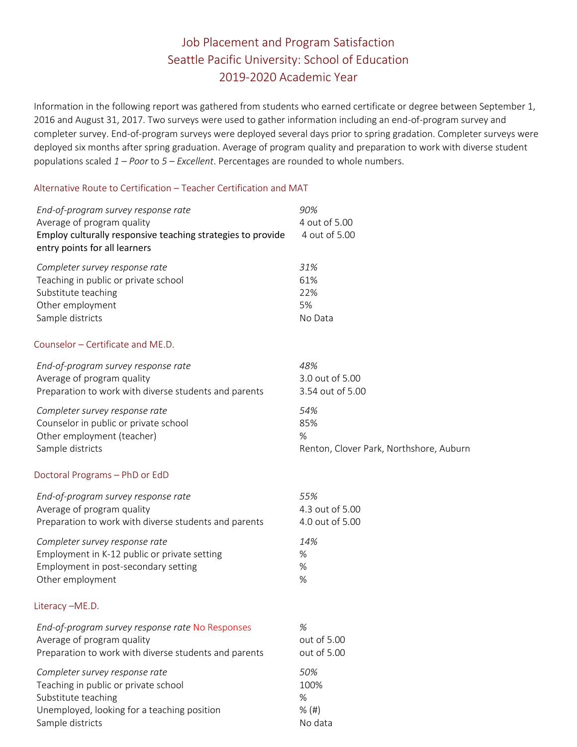## Job Placement and Program Satisfaction Seattle Pacific University: School of Education 2019-2020 Academic Year

Information in the following report was gathered from students who earned certificate or degree between September 1, 2016 and August 31, 2017. Two surveys were used to gather information including an end-of-program survey and completer survey. End-of-program surveys were deployed several days prior to spring gradation. Completer surveys were deployed six months after spring graduation. Average of program quality and preparation to work with diverse student populations scaled *1 – Poor* to *5 – Excellent*. Percentages are rounded to whole numbers.

## Alternative Route to Certification – Teacher Certification and MAT

| End-of-program survey response rate<br>Average of program quality<br>Employ culturally responsive teaching strategies to provide<br>entry points for all learners | 90%<br>4 out of 5.00<br>4 out of 5.00   |
|-------------------------------------------------------------------------------------------------------------------------------------------------------------------|-----------------------------------------|
| Completer survey response rate                                                                                                                                    | 31%                                     |
| Teaching in public or private school                                                                                                                              | 61%                                     |
| Substitute teaching                                                                                                                                               | 22%                                     |
| Other employment                                                                                                                                                  | 5%                                      |
| Sample districts                                                                                                                                                  | No Data                                 |
| Counselor - Certificate and ME.D.                                                                                                                                 |                                         |
| End-of-program survey response rate                                                                                                                               | 48%                                     |
| Average of program quality                                                                                                                                        | 3.0 out of 5.00                         |
| Preparation to work with diverse students and parents                                                                                                             | 3.54 out of 5.00                        |
| Completer survey response rate                                                                                                                                    | 54%                                     |
| Counselor in public or private school                                                                                                                             | 85%                                     |
| Other employment (teacher)                                                                                                                                        | %                                       |
| Sample districts                                                                                                                                                  | Renton, Clover Park, Northshore, Auburn |
| Doctoral Programs - PhD or EdD                                                                                                                                    |                                         |
| End-of-program survey response rate                                                                                                                               | 55%                                     |
| Average of program quality                                                                                                                                        | 4.3 out of 5.00                         |
| Preparation to work with diverse students and parents                                                                                                             | 4.0 out of 5.00                         |
| Completer survey response rate                                                                                                                                    | 14%                                     |
| Employment in K-12 public or private setting                                                                                                                      | %                                       |
| Employment in post-secondary setting                                                                                                                              | %                                       |
| Other employment                                                                                                                                                  | %                                       |
| Literacy-ME.D.                                                                                                                                                    |                                         |
| End-of-program survey response rate No Responses                                                                                                                  | $\%$                                    |
| Average of program quality                                                                                                                                        | out of 5.00                             |
| Preparation to work with diverse students and parents                                                                                                             | out of 5.00                             |
| Completer survey response rate                                                                                                                                    | 50%                                     |
| Teaching in public or private school                                                                                                                              | 100%                                    |
| Substitute teaching                                                                                                                                               | %                                       |
| Unemployed, looking for a teaching position                                                                                                                       | $%$ (#)                                 |
| Sample districts                                                                                                                                                  | No data                                 |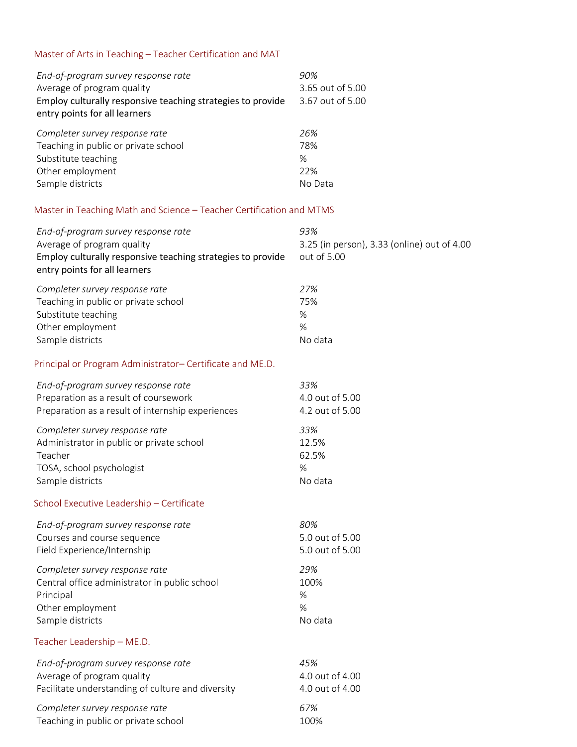## Master of Arts in Teaching – Teacher Certification and MAT

| End-of-program survey response rate                         | 90%              |
|-------------------------------------------------------------|------------------|
| Average of program quality                                  | 3.65 out of 5.00 |
| Employ culturally responsive teaching strategies to provide | 3.67 out of 5.00 |
| entry points for all learners                               |                  |
| Completer survey response rate                              | 26%              |
| Teaching in public or private school                        | 78%              |
| Substitute teaching                                         | $\%$             |
| Other employment                                            | 22%              |
| Sample districts                                            | No Data          |

## Master in Teaching Math and Science – Teacher Certification and MTMS

| End-of-program survey response rate<br>Average of program quality<br>Employ culturally responsive teaching strategies to provide<br>entry points for all learners | 93%<br>3.25 (in person), 3.33 (online) out of 4.00<br>out of 5.00 |
|-------------------------------------------------------------------------------------------------------------------------------------------------------------------|-------------------------------------------------------------------|
| Completer survey response rate                                                                                                                                    | 27%                                                               |
| Teaching in public or private school                                                                                                                              | 75%                                                               |
| Substitute teaching                                                                                                                                               | $\%$                                                              |
| Other employment                                                                                                                                                  | %                                                                 |
| Sample districts                                                                                                                                                  | No data                                                           |
| Principal or Program Administrator- Certificate and ME.D.                                                                                                         |                                                                   |
| End-of-program survey response rate                                                                                                                               | 33%                                                               |
| Preparation as a result of coursework                                                                                                                             | 4.0 out of 5.00                                                   |
| Preparation as a result of internship experiences                                                                                                                 | 4.2 out of 5.00                                                   |
| Completer survey response rate                                                                                                                                    | 33%                                                               |
| Administrator in public or private school                                                                                                                         | 12.5%                                                             |
| Teacher                                                                                                                                                           | 62.5%                                                             |
| TOSA, school psychologist                                                                                                                                         | $\%$                                                              |
| Sample districts                                                                                                                                                  | No data                                                           |
| School Executive Leadership - Certificate                                                                                                                         |                                                                   |
| End-of-program survey response rate                                                                                                                               | 80%                                                               |
| Courses and course sequence                                                                                                                                       | 5.0 out of 5.00                                                   |
| Field Experience/Internship                                                                                                                                       | 5.0 out of 5.00                                                   |
| Completer survey response rate                                                                                                                                    | 29%                                                               |
| Central office administrator in public school                                                                                                                     | 100%                                                              |
| Principal                                                                                                                                                         | %                                                                 |
| Other employment                                                                                                                                                  | %                                                                 |
| Sample districts                                                                                                                                                  | No data                                                           |
| Teacher Leadership - ME.D.                                                                                                                                        |                                                                   |
| End-of-program survey response rate                                                                                                                               | 45%                                                               |
| Average of program quality                                                                                                                                        | 4.0 out of 4.00                                                   |
| Facilitate understanding of culture and diversity                                                                                                                 | 4.0 out of 4.00                                                   |
| Completer survey response rate                                                                                                                                    | 67%                                                               |
| Teaching in public or private school                                                                                                                              | 100%                                                              |